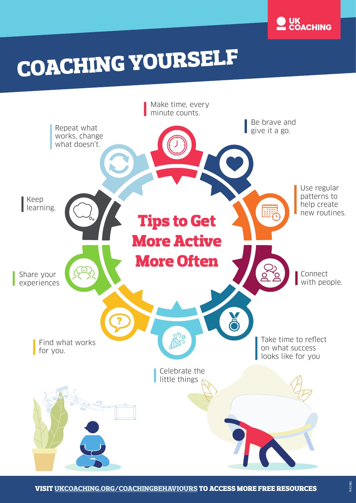

# COACHING YOURSELF